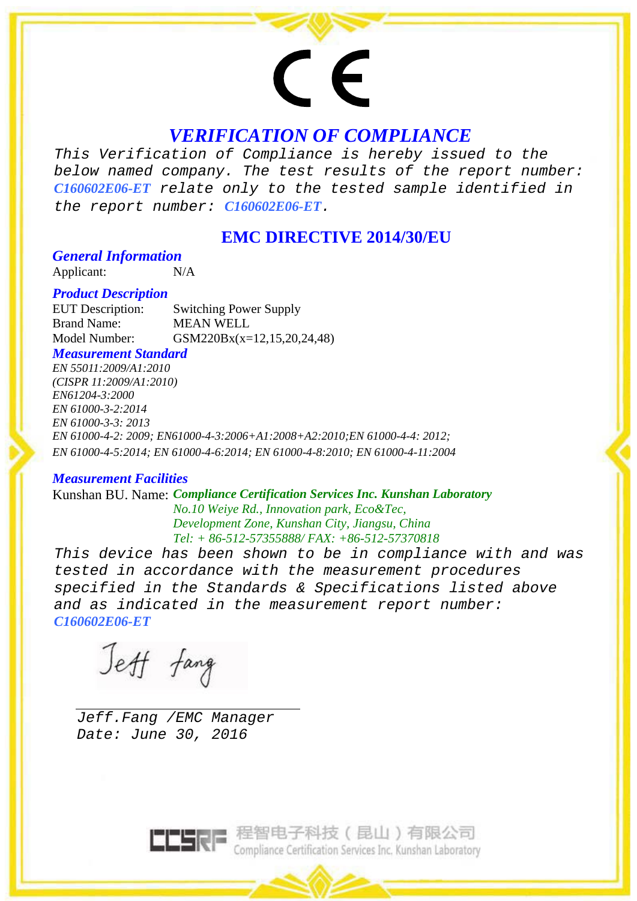# $\epsilon$

# *VERIFICATION OF COMPLIANCE*

*This Verification of Compliance is hereby issued to the below named company. The test results of the report number: C160602E06-ET relate only to the tested sample identified in the report number: C160602E06-ET.* 

# **EMC DIRECTIVE 2014/30/EU**

# *General Information*

Applicant: N/A

## *Product Description*

EUT Description: Switching Power Supply Brand Name: MEAN WELL Model Number: GSM220Bx(x=12,15,20,24,48)

## *Measurement Standard*

*EN 55011:2009/A1:2010 (CISPR 11:2009/A1:2010) EN61204-3:2000 EN 61000-3-2:2014 EN 61000-3-3: 2013 EN 61000-4-2: 2009; EN61000-4-3:2006+A1:2008+A2:2010;EN 61000-4-4: 2012; EN 61000-4-5:2014; EN 61000-4-6:2014; EN 61000-4-8:2010; EN 61000-4-11:2004* 

## *Measurement Facilities*

Kunshan BU. Name: *Compliance Certification Services Inc. Kunshan Laboratory No.10 Weiye Rd., Innovation park, Eco&Tec, Development Zone, Kunshan City, Jiangsu, China Tel: + 86-512-57355888/ FAX: +86-512-57370818* 

*This device has been shown to be in compliance with and was tested in accordance with the measurement procedures specified in the Standards & Specifications listed above and as indicated in the measurement report number: C160602E06-ET* 

Jeff fang

 *Jeff.Fang /EMC Manager Date: June 30, 2016* 



**ELERE 程智电子科技 (昆山)有限公司**